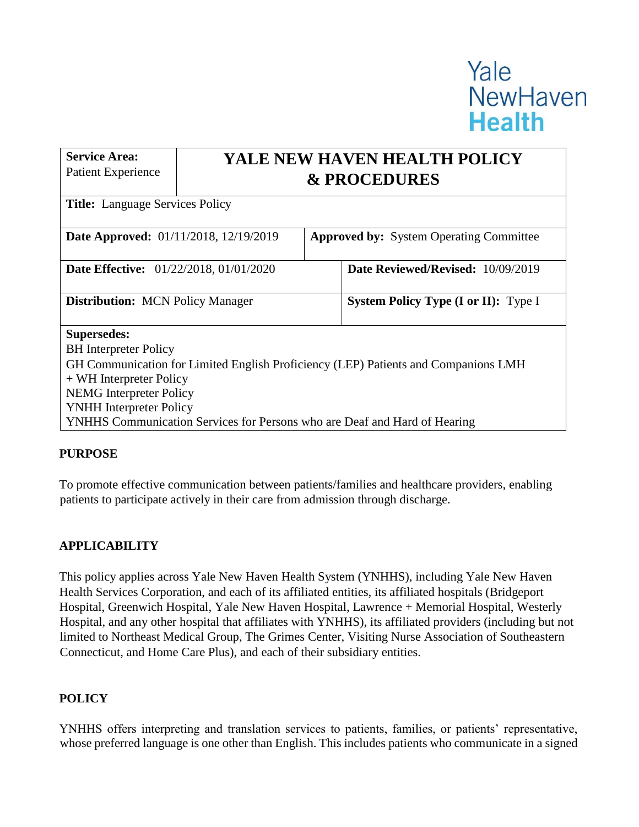# Yale **NewHaven Health**

**Service Area:**  Patient Experience **YALE NEW HAVEN HEALTH POLICY & PROCEDURES Title:** Language Services Policy **Date Approved:** 01/11/2018, 12/19/2019 **Approved by:** System Operating Committee **Date Effective:** 01/22/2018, 01/01/2020 **Date Reviewed/Revised:** 10/09/2019 **Distribution:** MCN Policy Manager **System Policy Type (I or II):** Type I **Supersedes:**  BH Interpreter Policy GH Communication for Limited English Proficiency (LEP) Patients and Companions LMH + WH Interpreter Policy NEMG Interpreter Policy YNHH Interpreter Policy YNHHS Communication Services for Persons who are Deaf and Hard of Hearing

## **PURPOSE**

To promote effective communication between patients/families and healthcare providers, enabling patients to participate actively in their care from admission through discharge.

## **APPLICABILITY**

This policy applies across Yale New Haven Health System (YNHHS), including Yale New Haven Health Services Corporation, and each of its affiliated entities, its affiliated hospitals (Bridgeport Hospital, Greenwich Hospital, Yale New Haven Hospital, Lawrence + Memorial Hospital, Westerly Hospital, and any other hospital that affiliates with YNHHS), its affiliated providers (including but not limited to Northeast Medical Group, The Grimes Center, Visiting Nurse Association of Southeastern Connecticut, and Home Care Plus), and each of their subsidiary entities.

### **POLICY**

YNHHS offers interpreting and translation services to patients, families, or patients' representative, whose preferred language is one other than English. This includes patients who communicate in a signed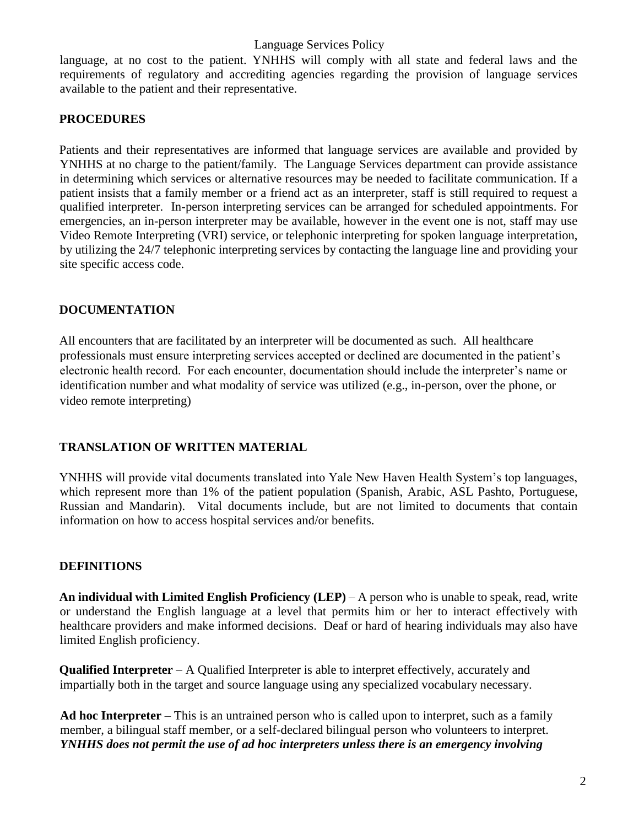language, at no cost to the patient. YNHHS will comply with all state and federal laws and the requirements of regulatory and accrediting agencies regarding the provision of language services available to the patient and their representative.

## **PROCEDURES**

Patients and their representatives are informed that language services are available and provided by YNHHS at no charge to the patient/family. The Language Services department can provide assistance in determining which services or alternative resources may be needed to facilitate communication. If a patient insists that a family member or a friend act as an interpreter, staff is still required to request a qualified interpreter. In-person interpreting services can be arranged for scheduled appointments. For emergencies, an in-person interpreter may be available, however in the event one is not, staff may use Video Remote Interpreting (VRI) service, or telephonic interpreting for spoken language interpretation, by utilizing the 24/7 telephonic interpreting services by contacting the language line and providing your site specific access code.

## **DOCUMENTATION**

All encounters that are facilitated by an interpreter will be documented as such. All healthcare professionals must ensure interpreting services accepted or declined are documented in the patient's electronic health record. For each encounter, documentation should include the interpreter's name or identification number and what modality of service was utilized (e.g., in-person, over the phone, or video remote interpreting)

## **TRANSLATION OF WRITTEN MATERIAL**

YNHHS will provide vital documents translated into Yale New Haven Health System's top languages, which represent more than 1% of the patient population (Spanish, Arabic, ASL Pashto, Portuguese, Russian and Mandarin). Vital documents include, but are not limited to documents that contain information on how to access hospital services and/or benefits.

## **DEFINITIONS**

**An individual with Limited English Proficiency (LEP)** – A person who is unable to speak, read, write or understand the English language at a level that permits him or her to interact effectively with healthcare providers and make informed decisions. Deaf or hard of hearing individuals may also have limited English proficiency.

**Qualified Interpreter** – A Qualified Interpreter is able to interpret effectively, accurately and impartially both in the target and source language using any specialized vocabulary necessary.

**Ad hoc Interpreter** – This is an untrained person who is called upon to interpret, such as a family member, a bilingual staff member, or a self-declared bilingual person who volunteers to interpret. *YNHHS does not permit the use of ad hoc interpreters unless there is an emergency involving*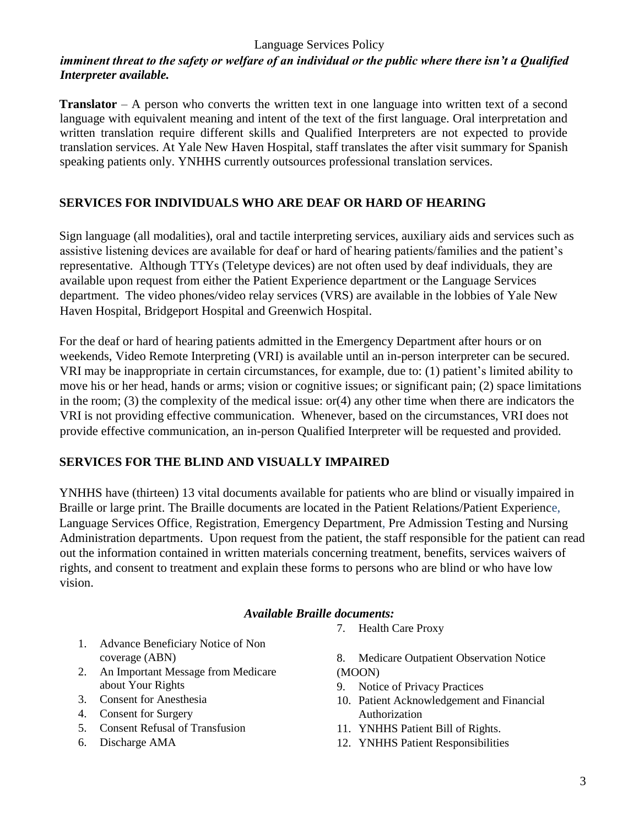### Language Services Policy

## *imminent threat to the safety or welfare of an individual or the public where there isn't a Qualified Interpreter available.*

**Translator** – A person who converts the written text in one language into written text of a second language with equivalent meaning and intent of the text of the first language. Oral interpretation and written translation require different skills and Qualified Interpreters are not expected to provide translation services. At Yale New Haven Hospital, staff translates the after visit summary for Spanish speaking patients only. YNHHS currently outsources professional translation services.

## **SERVICES FOR INDIVIDUALS WHO ARE DEAF OR HARD OF HEARING**

Sign language (all modalities), oral and tactile interpreting services, auxiliary aids and services such as assistive listening devices are available for deaf or hard of hearing patients/families and the patient's representative. Although TTYs (Teletype devices) are not often used by deaf individuals, they are available upon request from either the Patient Experience department or the Language Services department. The video phones/video relay services (VRS) are available in the lobbies of Yale New Haven Hospital, Bridgeport Hospital and Greenwich Hospital.

For the deaf or hard of hearing patients admitted in the Emergency Department after hours or on weekends, Video Remote Interpreting (VRI) is available until an in-person interpreter can be secured. VRI may be inappropriate in certain circumstances, for example, due to: (1) patient's limited ability to move his or her head, hands or arms; vision or cognitive issues; or significant pain; (2) space limitations in the room; (3) the complexity of the medical issue: or(4) any other time when there are indicators the VRI is not providing effective communication. Whenever, based on the circumstances, VRI does not provide effective communication, an in-person Qualified Interpreter will be requested and provided.

## **SERVICES FOR THE BLIND AND VISUALLY IMPAIRED**

YNHHS have (thirteen) 13 vital documents available for patients who are blind or visually impaired in Braille or large print. The Braille documents are located in the Patient Relations/Patient Experience, Language Services Office, Registration, Emergency Department, Pre Admission Testing and Nursing Administration departments. Upon request from the patient, the staff responsible for the patient can read out the information contained in written materials concerning treatment, benefits, services waivers of rights, and consent to treatment and explain these forms to persons who are blind or who have low vision.

#### *Available Braille documents:*

- 1. Advance Beneficiary Notice of Non coverage (ABN)
- 2. An Important Message from Medicare about Your Rights
- 3. Consent for Anesthesia
- 4. Consent for Surgery
- 5. Consent Refusal of Transfusion
- 6. Discharge AMA

7. Health Care Proxy

8. Medicare Outpatient Observation Notice (MOON)

- 9. Notice of Privacy Practices
- 10. Patient Acknowledgement and Financial Authorization
- 11. YNHHS Patient Bill of Rights.
- 12. YNHHS Patient Responsibilities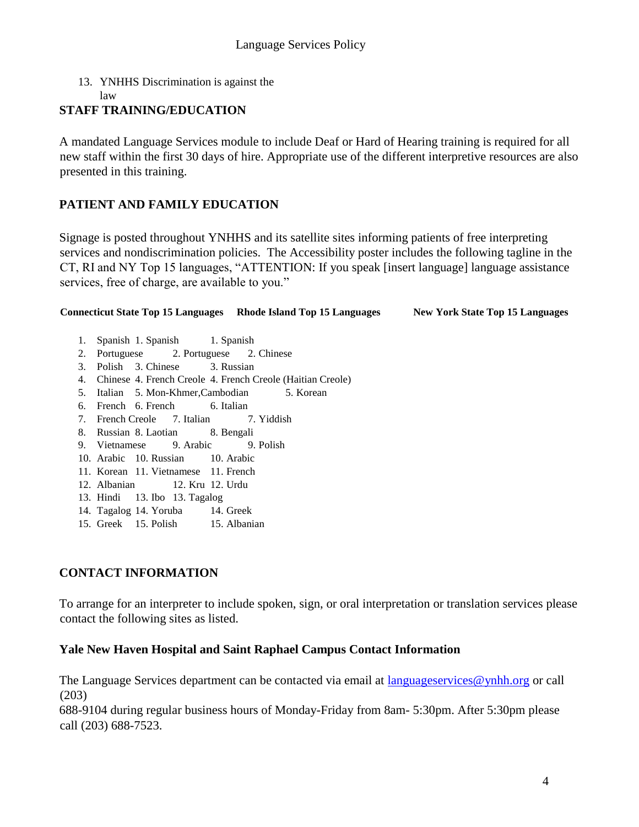13. YNHHS Discrimination is against the

law

#### **STAFF TRAINING/EDUCATION**

A mandated Language Services module to include Deaf or Hard of Hearing training is required for all new staff within the first 30 days of hire. Appropriate use of the different interpretive resources are also presented in this training.

## **PATIENT AND FAMILY EDUCATION**

Signage is posted throughout YNHHS and its satellite sites informing patients of free interpreting services and nondiscrimination policies. The Accessibility poster includes the following tagline in the CT, RI and NY Top 15 languages, "ATTENTION: If you speak [insert language] language assistance services, free of charge, are available to you."

# **Connecticut State Top 15 Languages Rhode Island Top 15 Languages New York State Top 15 Languages**

- 1. Spanish 1. Spanish 1. Spanish
- 2. Portuguese 2. Portuguese 2. Chinese
- 3. Polish 3. Chinese 3. Russian
- 4. Chinese 4. French Creole 4. French Creole (Haitian Creole)
- 5. Italian 5. Mon-Khmer,Cambodian 5. Korean
- 6. French 6. French 6. Italian
- 7. French Creole 7. Italian 7. Yiddish
- 8. Russian 8. Laotian 8. Bengali
- 9. Vietnamese 9. Arabic 9. Polish
- 10. Arabic 10. Russian 10. Arabic
- 11. Korean 11. Vietnamese 11. French
- 12. Albanian 12. Kru 12. Urdu
- 13. Hindi 13. Ibo 13. Tagalog
- 14. Tagalog 14. Yoruba 14. Greek
- 15. Greek 15. Polish 15. Albanian

### **CONTACT INFORMATION**

To arrange for an interpreter to include spoken, sign, or oral interpretation or translation services please contact the following sites as listed.

#### **Yale New Haven Hospital and Saint Raphael Campus Contact Information**

The Language Services department can be contacted via email at languageservices@ynhh.org or call (203)

688-9104 during regular business hours of Monday-Friday from 8am- 5:30pm. After 5:30pm please call (203) 688-7523.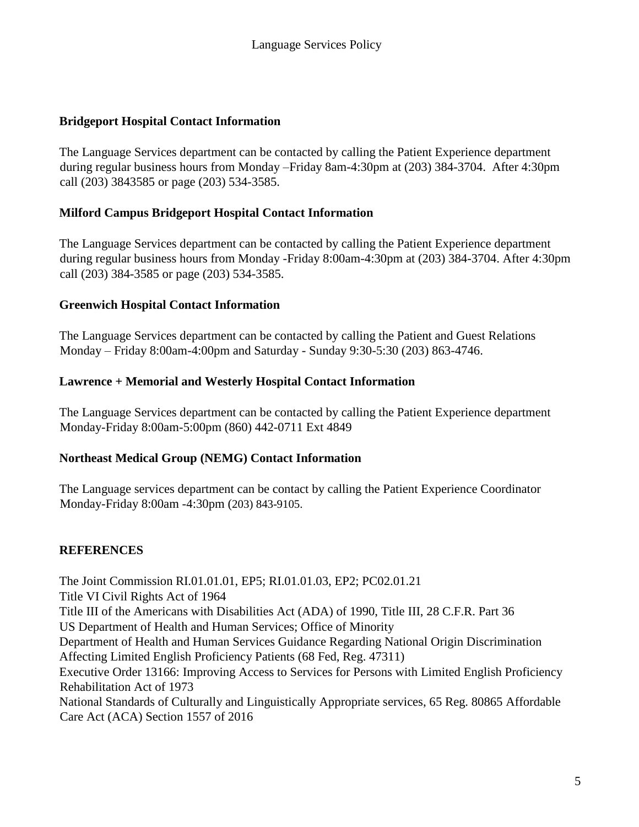## **Bridgeport Hospital Contact Information**

The Language Services department can be contacted by calling the Patient Experience department during regular business hours from Monday –Friday 8am-4:30pm at (203) 384-3704. After 4:30pm call (203) 3843585 or page (203) 534-3585.

## **Milford Campus Bridgeport Hospital Contact Information**

The Language Services department can be contacted by calling the Patient Experience department during regular business hours from Monday -Friday 8:00am-4:30pm at (203) 384-3704. After 4:30pm call (203) 384-3585 or page (203) 534-3585.

## **Greenwich Hospital Contact Information**

The Language Services department can be contacted by calling the Patient and Guest Relations Monday – Friday 8:00am-4:00pm and Saturday - Sunday 9:30-5:30 (203) 863-4746.

## **Lawrence + Memorial and Westerly Hospital Contact Information**

The Language Services department can be contacted by calling the Patient Experience department Monday-Friday 8:00am-5:00pm (860) 442-0711 Ext 4849

## **Northeast Medical Group (NEMG) Contact Information**

The Language services department can be contact by calling the Patient Experience Coordinator Monday-Friday 8:00am -4:30pm (203) 843-9105.

# **REFERENCES**

The Joint Commission RI.01.01.01, EP5; RI.01.01.03, EP2; PC02.01.21 Title VI Civil Rights Act of 1964 Title III of the Americans with Disabilities Act (ADA) of 1990, Title III, 28 C.F.R. Part 36 US Department of Health and Human Services; Office of Minority Department of Health and Human Services Guidance Regarding National Origin Discrimination Affecting Limited English Proficiency Patients (68 Fed, Reg. 47311) Executive Order 13166: Improving Access to Services for Persons with Limited English Proficiency Rehabilitation Act of 1973 National Standards of Culturally and Linguistically Appropriate services, 65 Reg. 80865 Affordable Care Act (ACA) Section 1557 of 2016